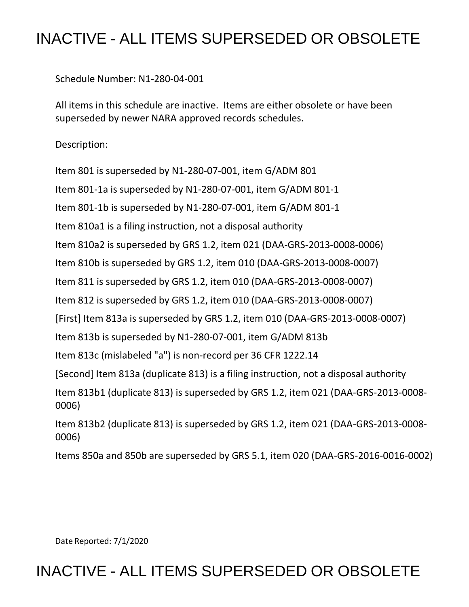## INACTIVE - ALL ITEMS SUPERSEDED OR OBSOLETE

Schedule Number: N1-280-04-001

 All items in this schedule are inactive. Items are either obsolete or have been superseded by newer NARA approved records schedules.

Description:

Item 801 is superseded by N1-280-07-001, item G/ADM 801

Item 801-1a is superseded by N1-280-07-001, item G/ADM 801-1

Item 801-1b is superseded by N1-280-07-001, item G/ADM 801-1

Item 810a1 is a filing instruction, not a disposal authority

Item 810a2 is superseded by GRS 1.2, item 021 (DAA-GRS-2013-0008-0006)

Item 810b is superseded by GRS 1.2, item 010 (DAA-GRS-2013-0008-0007)

Item 811 is superseded by GRS 1.2, item 010 (DAA-GRS-2013-0008-0007)

Item 812 is superseded by GRS 1.2, item 010 (DAA-GRS-2013-0008-0007)

[First] Item 813a is superseded by GRS 1.2, item 010 (DAA-GRS-2013-0008-0007)

Item 813b is superseded by N1-280-07-001, item G/ADM 813b

Item 813c (mislabeled "a") is non-record per 36 CFR 1222.14

[Second] Item 813a (duplicate 813) is a filing instruction, not a disposal authority

 Item 813b1 (duplicate 813) is superseded by GRS 1.2, item 021 (DAA-GRS-2013-0008- 0006)

 Item 813b2 (duplicate 813) is superseded by GRS 1.2, item 021 (DAA-GRS-2013-0008- 0006)

Items 850a and 850b are superseded by GRS 5.1, item 020 (DAA-GRS-2016-0016-0002)

Date Reported: 7/1/2020

## INACTIVE - ALL ITEMS SUPERSEDED OR OBSOLETE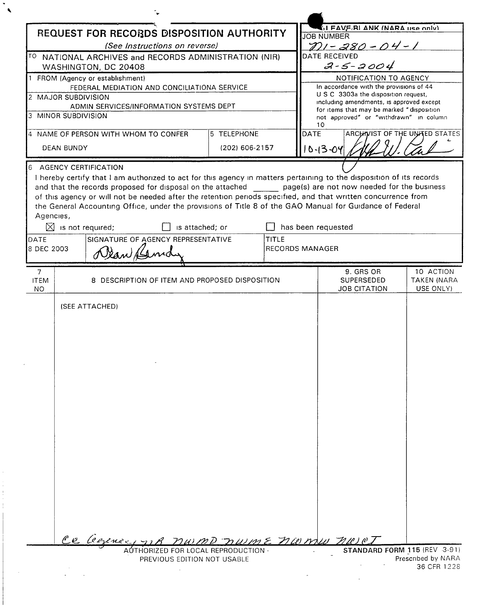|                                                                    | REQUEST FOR RECORDS DISPOSITION AUTHORITY                                         |                | <b>SI FAVE RI ANK (NARA LISA ONIV)</b><br><b>JOB NUMBER</b>                                                          |
|--------------------------------------------------------------------|-----------------------------------------------------------------------------------|----------------|----------------------------------------------------------------------------------------------------------------------|
| (See Instructions on reverse)                                      |                                                                                   |                | $201 - 280 - 04 - 1$                                                                                                 |
|                                                                    | TO NATIONAL ARCHIVES and RECORDS ADMINISTRATION (NIR)                             | DATE RECEIVED  |                                                                                                                      |
| WASHINGTON, DC 20408                                               |                                                                                   |                | $2 - 5 - 2004$                                                                                                       |
| FROM (Agency or establishment)                                     |                                                                                   |                | NOTIFICATION TO AGENCY<br>In accordance with the provisions of 44                                                    |
| FEDERAL MEDIATION AND CONCILIATIONA SERVICE<br>2 MAJOR SUBDIVISION |                                                                                   |                | U S C 3303a the disposition request,                                                                                 |
|                                                                    | ADMIN SERVICES/INFORMATION SYSTEMS DEPT                                           |                | including amendments, is approved except<br>for items that may be marked "disposition                                |
| 3 MINOR SUBDIVISION                                                |                                                                                   |                | not approved" or "withdrawn" in column<br>10                                                                         |
|                                                                    | 4 NAME OF PERSON WITH WHOM TO CONFER                                              | 5 TELEPHONE    | <b>DATE</b><br>ARCHIVIST OF THE UNITED STATES                                                                        |
| <b>DEAN BUNDY</b>                                                  |                                                                                   | (202) 606-2157 | $10 - 13 - 04$                                                                                                       |
|                                                                    |                                                                                   |                |                                                                                                                      |
| 6                                                                  | <b>AGENCY CERTIFICATION</b>                                                       |                | I hereby certify that I am authorized to act for this agency in matters pertaining to the disposition of its records |
|                                                                    |                                                                                   |                | and that the records proposed for disposal on the attached page(s) are not now needed for the business               |
|                                                                    |                                                                                   |                | of this agency or will not be needed after the retention periods specified, and that written concurrence from        |
|                                                                    |                                                                                   |                | the General Accounting Office, under the provisions of Title 8 of the GAO Manual for Guidance of Federal             |
| Agencies,                                                          | $\boxtimes$ is not required;<br>is attached; or                                   |                | has been requested                                                                                                   |
| DATE                                                               | SIGNATURE OF AGENCY REPRESENTATIVE                                                | TITLE          |                                                                                                                      |
| 8 DEC 2003                                                         |                                                                                   |                | <b>RECORDS MANAGER</b>                                                                                               |
|                                                                    | Dean Kemd                                                                         |                |                                                                                                                      |
| $\overline{7}$                                                     |                                                                                   |                | 9. GRS OR<br>10 ACTION                                                                                               |
| <b>ITEM</b><br>NO.                                                 | 8 DESCRIPTION OF ITEM AND PROPOSED DISPOSITION                                    |                | <b>SUPERSEDED</b><br><b>TAKEN (NARA</b><br><b>JOB CITATION</b><br>USE ONLY)                                          |
|                                                                    |                                                                                   |                |                                                                                                                      |
|                                                                    |                                                                                   |                |                                                                                                                      |
|                                                                    |                                                                                   |                |                                                                                                                      |
|                                                                    |                                                                                   |                | numD nume numu nur                                                                                                   |
|                                                                    | Ce Cerence,<br>AUTHORIZED FOR LOCAL REPRODUCTION -<br>PREVIOUS EDITION NOT USABLE |                | STANDARD FORM 115 (REV 3-91)<br>Prescribed by NARA                                                                   |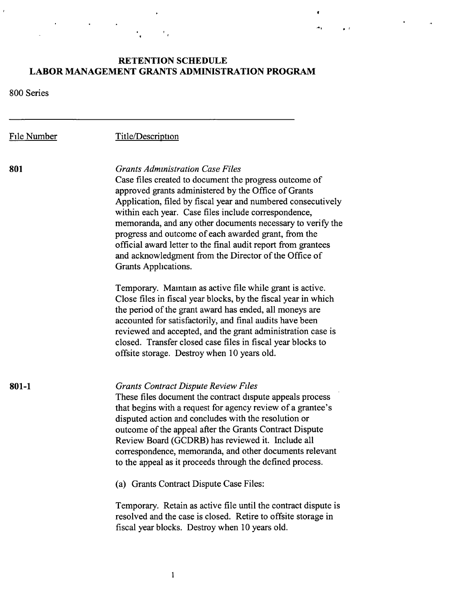## **RETENTION SCHEDULE LABOR MANAGEMENT GRANTS ADMINISTRATION PROGRAM**

..4,I • *t* 

 $\ddot{\phantom{a}}$ 

 $\bullet$ 

800 Series

 $\mathbf{r}$ 

| File Number | Title/Description                                                                                                                                                                                                                                                                                                                                                                                                                                                                                                                                         |
|-------------|-----------------------------------------------------------------------------------------------------------------------------------------------------------------------------------------------------------------------------------------------------------------------------------------------------------------------------------------------------------------------------------------------------------------------------------------------------------------------------------------------------------------------------------------------------------|
| 801         | <b>Grants Administration Case Files</b><br>Case files created to document the progress outcome of<br>approved grants administered by the Office of Grants<br>Application, filed by fiscal year and numbered consecutively<br>within each year. Case files include correspondence,<br>memoranda, and any other documents necessary to verify the<br>progress and outcome of each awarded grant, from the<br>official award letter to the final audit report from grantees<br>and acknowledgment from the Director of the Office of<br>Grants Applications. |
|             | Temporary. Maintain as active file while grant is active.<br>Close files in fiscal year blocks, by the fiscal year in which<br>the period of the grant award has ended, all moneys are<br>accounted for satisfactorily, and final audits have been<br>reviewed and accepted, and the grant administration case is<br>closed. Transfer closed case files in fiscal year blocks to<br>offsite storage. Destroy when 10 years old.                                                                                                                           |
| $801 - 1$   | <b>Grants Contract Dispute Review Files</b><br>These files document the contract dispute appeals process<br>that begins with a request for agency review of a grantee's<br>disputed action and concludes with the resolution or<br>outcome of the appeal after the Grants Contract Dispute<br>Review Board (GCDRB) has reviewed it. Include all<br>correspondence, memoranda, and other documents relevant<br>to the appeal as it proceeds through the defined process.                                                                                   |
|             | (a) Grants Contract Dispute Case Files:<br>Temporary. Retain as active file until the contract dispute is<br>resolved and the case is closed. Retire to offsite storage in<br>fiscal year blocks. Destroy when 10 years old.                                                                                                                                                                                                                                                                                                                              |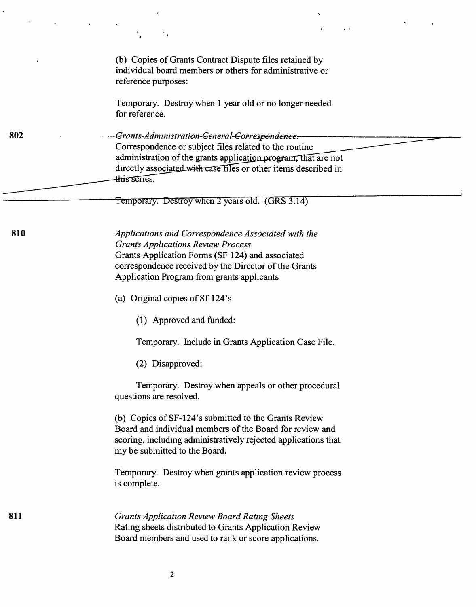|        | $\mathbf{r}$                                                                                                                                                                                                                                                                 |
|--------|------------------------------------------------------------------------------------------------------------------------------------------------------------------------------------------------------------------------------------------------------------------------------|
|        | (b) Copies of Grants Contract Dispute files retained by<br>individual board members or others for administrative or<br>reference purposes:                                                                                                                                   |
|        | Temporary. Destroy when 1 year old or no longer needed<br>for reference.                                                                                                                                                                                                     |
| $-802$ | --Grants-Administration-General-Corresponden <del>c</del> e.-<br>Correspondence or subject files related to the routine<br>administration of the grants application program, that are not<br>directly associated with case files or other items described in<br>this series. |
|        | Temporary. Destroy when 2 years old. (GRS 3.14)                                                                                                                                                                                                                              |
| 810    | Applications and Correspondence Associated with the<br><b>Grants Applications Review Process</b><br>Grants Application Forms (SF 124) and associated<br>correspondence received by the Director of the Grants<br>Application Program from grants applicants                  |
|        | (a) Original copies of Sf-124's                                                                                                                                                                                                                                              |
|        | (1) Approved and funded:                                                                                                                                                                                                                                                     |
|        | Temporary. Include in Grants Application Case File.                                                                                                                                                                                                                          |
|        | (2) Disapproved:                                                                                                                                                                                                                                                             |
|        | Temporary. Destroy when appeals or other procedural<br>questions are resolved.                                                                                                                                                                                               |
|        | (b) Copies of SF-124's submitted to the Grants Review<br>Board and individual members of the Board for review and<br>scoring, including administratively rejected applications that<br>my be submitted to the Board.                                                         |
|        | Temporary. Destroy when grants application review process<br>is complete.                                                                                                                                                                                                    |
| 811    | <b>Grants Application Review Board Rating Sheets</b><br>Rating sheets distributed to Grants Application Review<br>Board members and used to rank or score applications.                                                                                                      |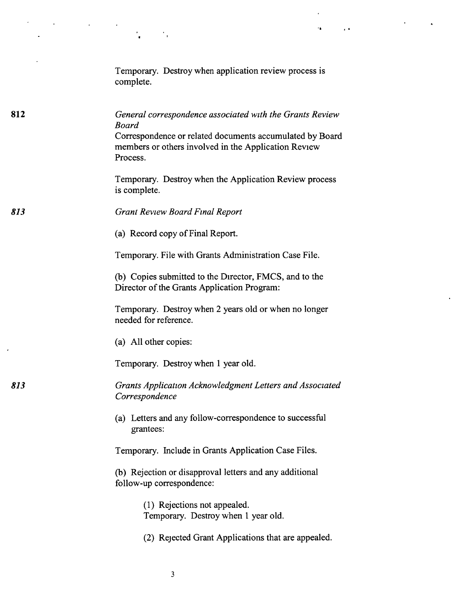|     | Temporary. Destroy when application review process is<br>complete.                                                                                                                                       |
|-----|----------------------------------------------------------------------------------------------------------------------------------------------------------------------------------------------------------|
| 812 | General correspondence associated with the Grants Review<br><b>Board</b><br>Correspondence or related documents accumulated by Board<br>members or others involved in the Application Review<br>Process. |
|     | Temporary. Destroy when the Application Review process<br>is complete.                                                                                                                                   |
| 813 | <b>Grant Review Board Final Report</b>                                                                                                                                                                   |
|     | (a) Record copy of Final Report.                                                                                                                                                                         |
|     | Temporary. File with Grants Administration Case File.                                                                                                                                                    |
|     | (b) Copies submitted to the Director, FMCS, and to the<br>Director of the Grants Application Program:                                                                                                    |
|     | Temporary. Destroy when 2 years old or when no longer<br>needed for reference.                                                                                                                           |
|     | (a) All other copies:                                                                                                                                                                                    |
|     | Temporary. Destroy when 1 year old.                                                                                                                                                                      |
| 813 | Grants Application Acknowledgment Letters and Associated<br>Correspondence                                                                                                                               |
|     | (a) Letters and any follow-correspondence to successful<br>grantees:                                                                                                                                     |
|     | Temporary. Include in Grants Application Case Files.                                                                                                                                                     |
|     | (b) Rejection or disapproval letters and any additional<br>follow-up correspondence:                                                                                                                     |
|     | (1) Rejections not appealed.<br>Temporary. Destroy when 1 year old.                                                                                                                                      |
|     | (2) Rejected Grant Applications that are appealed.                                                                                                                                                       |

..

 $\mathcal{L}^{\text{max}}_{\text{max}}$  , where  $\mathcal{L}^{\text{max}}_{\text{max}}$